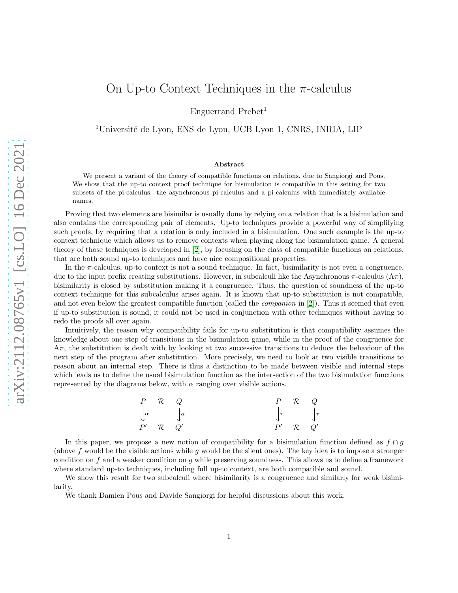Enguerrand Prebet<sup>1</sup>

<sup>1</sup>Université de Lyon, ENS de Lyon, UCB Lyon 1, CNRS, INRIA, LIP

#### Abstract

We present a variant of the theory of compatible functions on relations, due to Sangiorgi and Pous. We show that the up-to context proof technique for bisimulation is compatible in this setting for two subsets of the pi-calculus: the asynchronous pi-calculus and a pi-calculus with immediately available names.

Proving that two elements are bisimilar is usually done by relying on a relation that is a bisimulation and also contains the corresponding pair of elements. Up-to techniques provide a powerful way of simplifying such proofs, by requiring that a relation is only included in a bisimulation. One such example is the up-to context technique which allows us to remove contexts when playing along the bisimulation game. A general theory of those techniques is developed in [2], by focusing on the class of compatible functions on relations, that are both sound up-to techniques and have nice compositional properties.

In the  $\pi$ -calculus, up-to context is not a sound technique. In fact, bisimilarity is not even a congruence, due to the input prefix creating substitutions. However, in subcalculi like the Asynchronous  $\pi$ -calculus  $(A\pi)$ . bisimilarity is closed by substitution making it a congruence. Thus, the question of soundness of the up-to context technique for this subcalculus arises again. It is known that up-to substitution is not compatible, and not even below the greatest compatible function (called the *companion* in [2]). Thus it seemed that even if up-to substitution is sound, it could not be used in conjunction with other techniques without having to redo the proofs all over again.

Intuitively, the reason why compatibility fails for up-to substitution is that compatibility assumes the knowledge about one step of transitions in the bisimulation game, while in the proof of the congruence for  $A\pi$ , the substitution is dealt with by looking at two successive transitions to deduce the behaviour of the next step of the program after substitution. More precisely, we need to look at two visible transitions to reason about an internal step. There is thus a distinction to be made between visible and internal steps which leads us to define the usual bisimulation function as the intersection of the two bisimulation functions represented by the diagrams below, with  $\alpha$  ranging over visible actions.

| $P \mathcal{R} Q$ |                                                                                                             | P  | $\mathcal{R}$ Q                                                      |  |
|-------------------|-------------------------------------------------------------------------------------------------------------|----|----------------------------------------------------------------------|--|
|                   | $\begin{array}{ccc} \n\downarrow^{\alpha} & & \downarrow^{\alpha} \\ \nP' & \mathcal{R} & Q' \n\end{array}$ |    | $\begin{matrix} \tau & \mathbf{r} \\ \tau & \mathbf{r} \end{matrix}$ |  |
|                   | Q'                                                                                                          | P' | $\mathcal{R}$ Q'                                                     |  |

In this paper, we propose a new notion of compatibility for a bisimulation function defined as  $f \cap g$ (above f would be the visible actions while q would be the silent ones). The key idea is to impose a stronger condition on  $f$  and a weaker condition on  $g$  while preserving soundness. This allows us to define a framework where standard up-to techniques, including full up-to context, are both compatible and sound.

We show this result for two subcalculi where bisimilarity is a congruence and similarly for weak bisimilarity.

We thank Damien Pous and Davide Sangiorgi for helpful discussions about this work.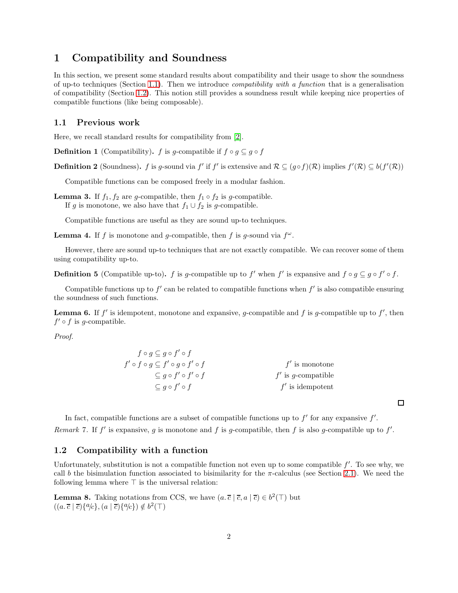### 1 Compatibility and Soundness

In this section, we present some standard results about compatibility and their usage to show the soundness of up-to techniques (Section [1.1\)](#page-1-0). Then we introduce *compatibility with a function* that is a generalisation of compatibility (Section [1.2\)](#page-1-1). This notion still provides a soundness result while keeping nice properties of compatible functions (like being composable).

### <span id="page-1-0"></span>1.1 Previous work

Here, we recall standard results for compatibility from [2].

**Definition 1** (Compatibility). f is g-compatible if  $f \circ g \subseteq g \circ f$ 

**Definition 2** (Soundness). f is g-sound via f' if f' is extensive and  $\mathcal{R} \subseteq (g \circ f)(\mathcal{R})$  implies  $f'(\mathcal{R}) \subseteq b(f'(\mathcal{R}))$ 

Compatible functions can be composed freely in a modular fashion.

**Lemma 3.** If  $f_1, f_2$  are g-compatible, then  $f_1 \circ f_2$  is g-compatible. If g is monotone, we also have that  $f_1 \cup f_2$  is g-compatible.

Compatible functions are useful as they are sound up-to techniques.

<span id="page-1-4"></span>**Lemma 4.** If f is monotone and g-compatible, then f is g-sound via  $f^{\omega}$ .

However, there are sound up-to techniques that are not exactly compatible. We can recover some of them using compatibility up-to.

<span id="page-1-2"></span>**Definition 5** (Compatible up-to). f is g-compatible up to f' when f' is expansive and  $f \circ g \subseteq g \circ f' \circ f$ .

Compatible functions up to  $f'$  can be related to compatible functions when  $f'$  is also compatible ensuring the soundness of such functions.

**Lemma 6.** If  $f'$  is idempotent, monotone and expansive, g-compatible and f is g-compatible up to  $f'$ , then  $f' \circ f$  is g-compatible.

Proof.

$$
f \circ g \subseteq g \circ f' \circ f
$$
  
\n
$$
f' \circ f \circ g \subseteq f' \circ g \circ f' \circ f
$$
  
\n
$$
\subseteq g \circ f' \circ f
$$
  
\n
$$
\subseteq g \circ f' \circ f
$$
  
\n
$$
f' \text{ is monotone}
$$
  
\n
$$
f' \text{ is g-compathible}
$$
  
\n
$$
f' \text{ is dempotent}
$$

 $\Box$ 

In fact, compatible functions are a subset of compatible functions up to  $f'$  for any expansive  $f'$ . Remark 7. If f' is expansive, g is monotone and f is g-compatible, then f is also g-compatible up to f'.

### <span id="page-1-1"></span>1.2 Compatibility with a function

Unfortunately, substitution is not a compatible function not even up to some compatible  $f'$ . To see why, we call b the bisimulation function associated to bisimilarity for the  $\pi$ -calculus (see Section [2.1\)](#page-4-0). We need the following lemma where  $\top$  is the universal relation:

<span id="page-1-3"></span>**Lemma 8.** Taking notations from CCS, we have  $(a, \overline{c} | \overline{c}, a | \overline{c}) \in b^2(\mathbb{T})$  but  $((a, \overline{c} | \overline{c}) \{a/c\}, (a | \overline{c}) \{a/c\}) \notin b^2(\top)$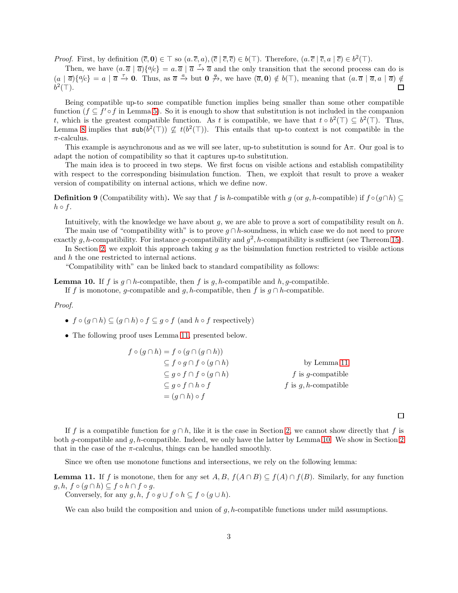*Proof.* First, by definition  $(\overline{c}, 0) \in \top$  so  $(a, \overline{c}, a), (\overline{c} | \overline{c}, \overline{c}) \in b(\top)$ . Therefore,  $(a, \overline{c} | \overline{c}, a | \overline{c}) \in b^2(\top)$ .

Then, we have  $(a.\overline{a} | \overline{a})\{a/c\} = a.\overline{a} | \overline{a} \stackrel{\tau}{\rightarrow} \overline{a}$  and the only transition that the second process can do is  $(a | \overline{a})\{a/c\} = a | \overline{a} \stackrel{\tau}{\rightarrow} 0$ . Thus, as  $\overline{a} \stackrel{a}{\rightarrow}$  but  $0 \not\rightarrow$ , we have  $(\overline{a}, 0) \notin b(\top)$ , meaning that  $(a, \overline{a} | \overline{a}, a | \overline{a}) \notin$  $b^2(\top)$ .  $\Box$ 

Being compatible up-to some compatible function implies being smaller than some other compatible function  $(f \subseteq f' \circ f)$  in Lemma [5\)](#page-1-2). So it is enough to show that substitution is not included in the companion t, which is the greatest compatible function. As t is compatible, we have that  $t \circ b^2(\top) \subseteq b^2(\top)$ . Thus, Lemma [8](#page-1-3) implies that  $\text{sub}(b^2(\top)) \not\subseteq t(b^2(\top))$ . This entails that up-to context is not compatible in the  $\pi$ -calculus.

This example is asynchronous and as we will see later, up-to substitution is sound for  $A\pi$ . Our goal is to adapt the notion of compatibility so that it captures up-to substitution.

The main idea is to proceed in two steps. We first focus on visible actions and establish compatibility with respect to the corresponding bisimulation function. Then, we exploit that result to prove a weaker version of compatibility on internal actions, which we define now.

**Definition 9** (Compatibility with). We say that f is h-compatible with g (or g, h-compatible) if  $f \circ (g \cap h) \subseteq$  $h \circ f$ .

Intuitively, with the knowledge we have about  $g$ , we are able to prove a sort of compatibility result on  $h$ . The main use of "compatibility with" is to prove  $g \cap h$ -soundness, in which case we do not need to prove exactly g, h-compatibility. For instance g-compatibility and  $g^2$ , h-compatibility is sufficient (see Thereom [15\)](#page-3-0).

In Section [2,](#page-4-1) we exploit this approach taking  $q$  as the bisimulation function restricted to visible actions and h the one restricted to internal actions.

"Compatibility with" can be linked back to standard compatibility as follows:

<span id="page-2-1"></span>**Lemma 10.** If f is  $g \cap h$ -compatible, then f is g, h-compatible and h, g-compatible.

If f is monotone, g-compatible and g, h-compatible, then f is  $g \cap h$ -compatible.

Proof.

- $f \circ (g \cap h) \subseteq (g \cap h) \circ f \subseteq g \circ f$  (and  $h \circ f$  respectively)
- The following proof uses Lemma [11,](#page-2-0) presented below.

$$
f \circ (g \cap h) = f \circ (g \cap (g \cap h))
$$
  
\n
$$
\subseteq f \circ g \cap f \circ (g \cap h)
$$
 by Lemma 11  
\n
$$
\subseteq g \circ f \cap f \circ (g \cap h)
$$
 by Lemma 11  
\n
$$
\subseteq g \circ f \cap h \circ f
$$
 is g,h-compatible  
\n
$$
= (g \cap h) \circ f
$$

 $\Box$ 

If f is a compatible function for  $q \cap h$ , like it is the case in Section [2,](#page-4-1) we cannot show directly that f is both g-compatible and g, h-compatible. Indeed, we only have the latter by Lemma [10.](#page-2-1) We show in Section [2](#page-4-1) that in the case of the  $\pi$ -calculus, things can be handled smoothly.

Since we often use monotone functions and intersections, we rely on the following lemma:

<span id="page-2-0"></span>**Lemma 11.** If f is monotone, then for any set  $A, B, f(A \cap B) \subseteq f(A) \cap f(B)$ . Similarly, for any function  $g, h, f \circ (g \cap h) \subseteq f \circ h \cap f \circ g.$ 

Conversely, for any  $g, h, f \circ g \cup f \circ h \subseteq f \circ (g \cup h)$ .

We can also build the composition and union of  $g$ , h-compatible functions under mild assumptions.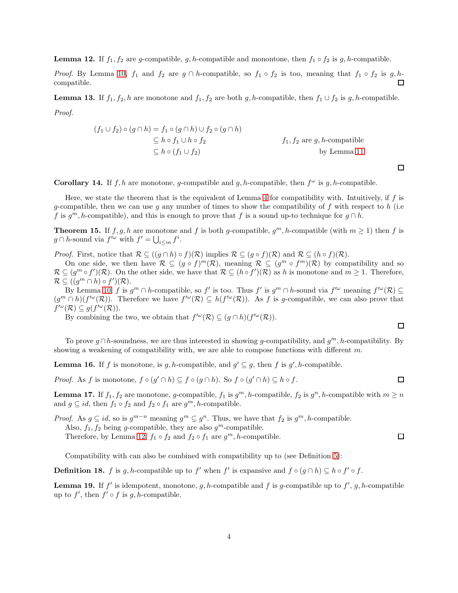<span id="page-3-1"></span>**Lemma 12.** If  $f_1, f_2$  are g-compatible, g, h-compatible and monontone, then  $f_1 \circ f_2$  is g, h-compatible.

*Proof.* By Lemma [10,](#page-2-1)  $f_1$  and  $f_2$  are  $g \cap h$ -compatible, so  $f_1 \circ f_2$  is too, meaning that  $f_1 \circ f_2$  is  $g, h$ compatible.  $\Box$ 

**Lemma 13.** If  $f_1, f_2, h$  are monotone and  $f_1, f_2$  are both g, h-compatible, then  $f_1 \cup f_2$  is g, h-compatible. Proof.

$$
(f_1 \cup f_2) \circ (g \cap h) = f_1 \circ (g \cap h) \cup f_2 \circ (g \cap h)
$$
  
\n
$$
\subseteq h \circ f_1 \cup h \circ f_2
$$
  
\n
$$
\subseteq h \circ (f_1 \cup f_2)
$$
  
\nby Lemma 11

**Corollary 14.** If  $f, h$  are monotone, g-compatible and  $g, h$ -compatible, then  $f^{\omega}$  is  $g, h$ -compatible.

Here, we state the theorem that is the equivalent of Lemma [4](#page-1-4) for compatibility with. Intuitively, if f is g-compatible, then we can use g any number of times to show the compatibility of f with respect to h (i.e. f is  $g^m$ , h-compatible), and this is enough to prove that f is a sound up-to technique for  $g \cap h$ .

<span id="page-3-0"></span>**Theorem 15.** If  $f, g, h$  are monotone and f is both g-compatible,  $g^m, h$ -compatible (with  $m \ge 1$ ) then f is  $g \cap h$ -sound via  $f'^{\omega}$  with  $f' = \bigcup_{i \leq m} f^i$ .

*Proof.* First, notice that  $\mathcal{R} \subseteq ((g \cap h) \circ f)(\mathcal{R})$  implies  $\mathcal{R} \subseteq (g \circ f)(\mathcal{R})$  and  $\mathcal{R} \subseteq (h \circ f)(\mathcal{R})$ .

On one side, we then have  $\mathcal{R} \subseteq (g \circ f)^m(\mathcal{R})$ , meaning  $\mathcal{R} \subseteq (g^m \circ f^m)(\mathcal{R})$  by compatibility and so  $\mathcal{R} \subseteq (g^m \circ f')(\mathcal{R})$ . On the other side, we have that  $\mathcal{R} \subseteq (h \circ f')(\mathcal{R})$  as h is monotone and  $m \geq 1$ . Therefore,  $\mathcal{R} \subseteq ((g^m \cap h) \circ f')(\mathcal{R}).$ 

By Lemma [10,](#page-2-1) f is  $g^m \cap h$ -compatible, so f' is too. Thus f' is  $g^m \cap h$ -sound via  $f'^\omega$  meaning  $f'^\omega(\mathcal{R}) \subseteq$  $(g^m \cap h)(f'^{\omega}(\mathcal{R}))$ . Therefore we have  $f'^{\omega}(\mathcal{R}) \subseteq h(f'^{\omega}(\mathcal{R}))$ . As f is g-compatible, we can also prove that  $f^{\prime\omega}(\mathcal{R}) \subseteq g(f^{\prime\omega}(\mathcal{R})).$ 

By combining the two, we obtain that  $f^{\prime\omega}(\mathcal{R}) \subseteq (g \cap h)(f^{\prime\omega}(\mathcal{R}))$ .

To prove  $g \cap h$ -soundness, we are thus interested in showing g-compatibility, and  $g^m$ , h-compatibility. By showing a weakening of compatibility with, we are able to compose functions with different  $m$ .

**Lemma 16.** If f is monotone, is g, h-compatible, and  $g' \subseteq g$ , then f is g', h-compatible.

*Proof.* As f is monotone,  $f \circ (g' \cap h) \subseteq f \circ (g \cap h)$ . So  $f \circ (g' \cap h) \subseteq h \circ f$ .

**Lemma 17.** If  $f_1, f_2$  are monotone, g-compatible,  $f_1$  is  $g^m$ , h-compatible,  $f_2$  is  $g^n$ , h-compatible with  $m \ge n$ and  $g \subseteq id$ , then  $f_1 \circ f_2$  and  $f_2 \circ f_1$  are  $g^m$ , *h*-compatible.

*Proof.* As  $g \subseteq id$ , so is  $g^{m-n}$  meaning  $g^m \subseteq g^n$ . Thus, we have that  $f_2$  is  $g^m$ , *h*-compatible. Also,  $f_1, f_2$  being g-compatible, they are also  $g^m$ -compatible. Therefore, by Lemma [12,](#page-3-1)  $f_1 \circ f_2$  and  $f_2 \circ f_1$  are  $g^m$ , *h*-compatible.

Compatibility with can also be combined with compatibility up to (see Definition [5\)](#page-1-2):

**Definition 18.** f is g, h-compatible up to f' when f' is expansive and  $f \circ (g \cap h) \subseteq h \circ f' \circ f$ .

**Lemma 19.** If  $f'$  is idempotent, monotone, g, h-compatible and f is g-compatible up to  $f'$ , g, h-compatible up to  $f'$ , then  $f' \circ f$  is  $g, h$ -compatible.

 $\Box$ 

 $\Box$ 

 $\Box$ 

 $\Box$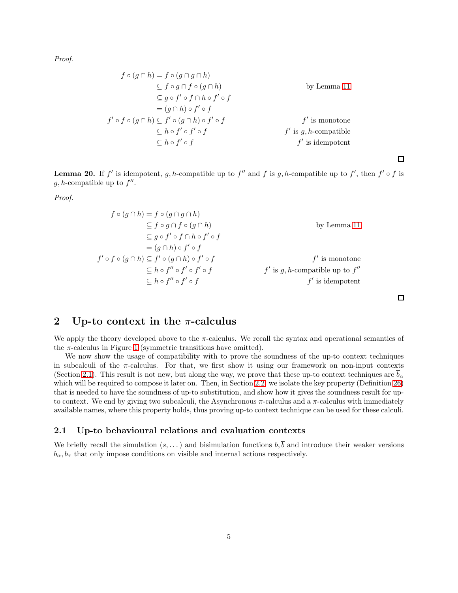Proof.

$$
f \circ (g \cap h) = f \circ (g \cap g \cap h)
$$
  
\n
$$
\subseteq f \circ g \cap f \circ (g \cap h)
$$
  
\n
$$
\subseteq g \circ f' \circ f \cap h \circ f' \circ f
$$
  
\n
$$
= (g \cap h) \circ f' \circ f
$$
  
\n
$$
f' \circ f \circ (g \cap h) \subseteq f' \circ (g \cap h) \circ f' \circ f
$$
  
\n
$$
\subseteq h \circ f' \circ f
$$
  
\n
$$
f' \text{ is monotone}
$$
  
\n
$$
f' \text{ is } g, h\text{-compatible}
$$
  
\n
$$
f' \text{ is idempotent}
$$

 $\Box$ 

**Lemma 20.** If f' is idempotent, g, h-compatible up to f'' and f is g, h-compatible up to f', then  $f' \circ f$  is  $g, h$ -compatible up to  $f''$ .

Proof.

$$
f \circ (g \cap h) = f \circ (g \cap g \cap h)
$$
  
\n
$$
\subseteq f \circ g \cap f \circ (g \cap h)
$$
  
\n
$$
\subseteq g \circ f' \circ f \cap h \circ f' \circ f
$$
  
\n
$$
= (g \cap h) \circ f' \circ f
$$
  
\n
$$
f' \circ f \circ (g \cap h) \subseteq f' \circ (g \cap h) \circ f' \circ f
$$
  
\n
$$
\subseteq h \circ f'' \circ f' \circ f
$$
  
\n
$$
f' \text{ is monotone}
$$
  
\n
$$
f' \text{ is } g, h\text{-compatible up to } f''
$$
  
\n
$$
f' \text{ is idempotent}
$$

 $\Box$ 

## <span id="page-4-1"></span>2 Up-to context in the  $\pi$ -calculus

We apply the theory developed above to the  $\pi$ -calculus. We recall the syntax and operational semantics of the  $\pi$ -calculus in Figure [1](#page-5-0) (symmetric transitions have omitted).

We now show the usage of compatibility with to prove the soundness of the up-to context techniques in subcalculi of the  $\pi$ -calculus. For that, we first show it using our framework on non-input contexts (Section [2.1\)](#page-4-0). This result is not new, but along the way, we prove that these up-to context techniques are  $\bar{b}_{\alpha}$ which will be required to compose it later on. Then, in Section [2.2,](#page-6-0) we isolate the key property (Definition [26\)](#page-6-1) that is needed to have the soundness of up-to substitution, and show how it gives the soundness result for upto context. We end by giving two subcalculi, the Asynchronous  $\pi$ -calculus and a  $\pi$ -calculus with immediately available names, where this property holds, thus proving up-to context technique can be used for these calculi.

### <span id="page-4-0"></span>2.1 Up-to behavioural relations and evaluation contexts

We briefly recall the simulation  $(s, \dots)$  and bisimulation functions  $b, \overline{b}$  and introduce their weaker versions  $b_{\alpha}, b_{\tau}$  that only impose conditions on visible and internal actions respectively.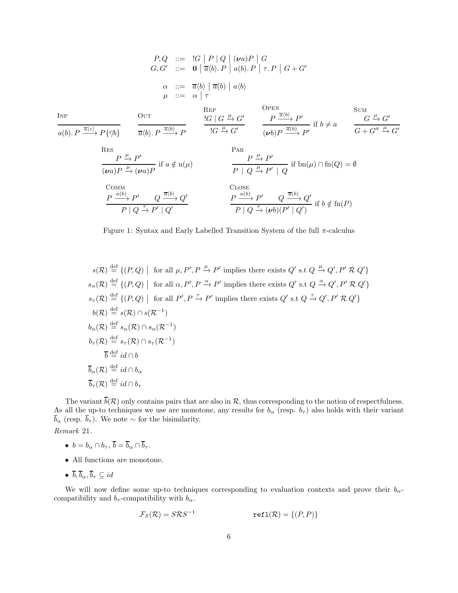$$
P, Q ::= |G | P | Q | (va) P | G
$$
  
\n
$$
G, G' ::= \mathbf{0} | \overline{a} \langle b \rangle. P | a \langle b \rangle. P | \tau. P | G + G'
$$
  
\n
$$
\alpha ::= \overline{a} \langle b \rangle | \overline{a} \langle b \rangle. P | a \langle b \rangle
$$
  
\n
$$
\mu ::= \alpha | \tau
$$
  
\n
$$
\frac{\text{REP}}{a(b). P \overline{a} \langle b \rangle. P \overline{a} \langle b \rangle. P} \overline{a} \langle b \rangle. P \overline{a} \langle b \rangle. P \overline{a} \langle b \rangle. P \overline{a} \langle b \rangle. P \overline{a} \langle b \rangle. P \overline{a} \langle b \rangle. P \overline{a} \langle b \rangle. P \overline{a} \langle b \rangle. P \overline{a} \langle b \rangle. P \overline{a} \langle b \rangle. P \overline{a} \langle b \rangle. P \overline{a} \langle b \rangle. P \overline{a} \langle b \rangle. P \overline{a} \langle b \rangle. P \overline{a} \langle b \rangle. P \overline{a} \langle b \rangle. P \overline{a} \langle b \rangle. P \overline{a} \langle b \rangle. P \overline{a} \langle b \rangle. P \overline{a} \langle b \rangle. P \overline{a} \langle b \rangle. P \overline{a} \langle b \rangle. P \overline{a} \langle b \rangle. P \overline{a} \langle b \rangle. P \overline{a} \langle b \rangle. P \overline{a} \langle b \rangle. P \overline{a} \langle b \rangle. P \overline{a} \langle b \rangle. P \overline{a} \langle b \rangle. P \overline{a} \langle b \rangle. P \overline{a} \langle b \rangle. P \overline{a} \langle b \rangle. P \overline{a} \langle b \rangle. P \overline{a} \langle b \rangle. P \overline{a} \langle b \rangle. P \overline{a} \langle b \rangle. P \overline{a} \langle b \rangle. P \overline{a} \langle b \rangle. P \overline{a} \langle b \rangle. P \overline{a} \langle b \rangle. P \overline{a} \langle b \rangle. P \overline{a} \langle b \rangle. P \overline{a} \langle b \rangle. P \overline{a} \langle b \rangle.
$$

<span id="page-5-0"></span>Figure 1: Syntax and Early Labelled Transition System of the full  $\pi$ -calculus

$$
s(\mathcal{R}) \stackrel{\text{def}}{=} \{ (P, Q) \mid \text{ for all } \mu, P', P \xrightarrow{\mu} P' \text{ implies there exists } Q' \text{ s.t } Q \xrightarrow{\mu} Q', P' \mathcal{R} Q' \}
$$
  
\n
$$
s_{\alpha}(\mathcal{R}) \stackrel{\text{def}}{=} \{ (P, Q) \mid \text{ for all } \alpha, P', P \xrightarrow{\alpha} P' \text{ implies there exists } Q' \text{ s.t } Q \xrightarrow{\alpha} Q', P' \mathcal{R} Q' \}
$$
  
\n
$$
s_{\tau}(\mathcal{R}) \stackrel{\text{def}}{=} \{ (P, Q) \mid \text{ for all } P', P \xrightarrow{\tau} P' \text{ implies there exists } Q' \text{ s.t } Q \xrightarrow{\tau} Q', P' \mathcal{R} Q' \}
$$
  
\n
$$
b(\mathcal{R}) \stackrel{\text{def}}{=} s(\mathcal{R}) \cap s(\mathcal{R}^{-1})
$$
  
\n
$$
b_{\tau}(\mathcal{R}) \stackrel{\text{def}}{=} s_{\tau}(\mathcal{R}) \cap s_{\tau}(\mathcal{R}^{-1})
$$
  
\n
$$
\overline{b} \stackrel{\text{def}}{=} id \cap b
$$
  
\n
$$
\overline{b}_{\alpha}(\mathcal{R}) \stackrel{\text{def}}{=} id \cap b_{\alpha}
$$
  
\n
$$
\overline{b}_{\tau}(\mathcal{R}) \stackrel{\text{def}}{=} id \cap b_{\tau}
$$

The variant  $b(\mathcal{R})$  only contains pairs that are also in  $\mathcal{R}$ , thus corresponding to the notion of respectfulness. As all the up-to techniques we use are monotone, any results for  $b_\alpha$  (resp.  $b_\tau$ ) also holds with their variant  $\overline{b}_{\alpha}$  (resp.  $\overline{b}_{\tau}$ ). We note  $\sim$  for the bisimilarity.

Remark 21.

- $b = b_{\alpha} \cap b_{\tau}, \overline{b} = \overline{b}_{\alpha} \cap \overline{b}_{\tau}.$
- All functions are monotone.
- $\overline{b}, \overline{b}_{\alpha}, \overline{b}_{\tau} \subseteq id$

We will now define some up-to techniques corresponding to evaluation contexts and prove their  $b_{\alpha}$ compatibility and  $b_{\tau}$ -compatibility with  $b_{\alpha}$ .

$$
\mathcal{F}_S(\mathcal{R}) = S\mathcal{R}S^{-1} \qquad \qquad \text{refl}(\mathcal{R}) = \{(P, P)\}
$$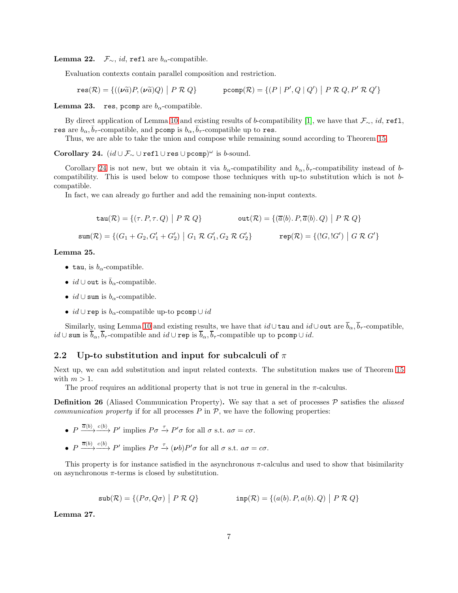**Lemma 22.**  $\mathcal{F}_{\sim}$ , *id*, ref1 are  $b_{\alpha}$ -compatible.

Evaluation contexts contain parallel composition and restriction.

$$
\text{res}(\mathcal{R})=\{((\nu\widetilde{a})P,(\nu\widetilde{a})Q)\,\bigm| \,\,P\mathrel{\mathcal{R}} Q\} \qquad \qquad \text{pcomp}(\mathcal{R})=\{(P\mid P',Q\mid Q')\,\,\bigm| \,\,P\mathrel{\mathcal{R}} Q, P'\mathrel{\mathcal{R}} Q'\}
$$

**Lemma 23.** res, pcomp are  $b_{\alpha}$ -compatible.

By direct application of Lemma [10](#page-2-1) and existing results of b-compatibility [1], we have that  $\mathcal{F}_{\sim}$ , id, refl, res are  $b_{\alpha}$ ,  $\bar{b}_{\tau}$ -compatible, and pcomp is  $b_{\alpha}$ ,  $\bar{b}_{\tau}$ -compatible up to res.

Thus, we are able to take the union and compose while remaining sound according to Theorem [15.](#page-3-0)

<span id="page-6-2"></span>Corollary 24.  $(id \cup \mathcal{F}_{\sim} \cup \text{refl} \cup \text{res} \cup \text{pcomp})^{\omega}$  is b-sound.

Corollary [24](#page-6-2) is not new, but we obtain it via  $b_{\alpha}$ -compatibility and  $b_{\alpha}, \bar{b}_{\tau}$ -compatibility instead of bcompatibility. This is used below to compose those techniques with up-to substitution which is not bcompatible.

In fact, we can already go further and add the remaining non-input contexts.

$$
\tan(\mathcal{R}) = \{ (\tau, P, \tau, Q) \mid P \mathcal{R} Q \} \qquad \text{out}(\mathcal{R}) = \{ (\overline{a} \langle b \rangle, P, \overline{a} \langle b \rangle, Q) \mid P \mathcal{R} Q \}
$$
\n
$$
\text{sum}(\mathcal{R}) = \{ (G_1 + G_2, G_1' + G_2') \mid G_1 \mathcal{R} G_1', G_2 \mathcal{R} G_2' \} \qquad \text{rep}(\mathcal{R}) = \{ (G, G') \mid G \mathcal{R} G' \}
$$

Lemma 25.

- tau, is  $b_{\alpha}$ -compatible.
- id ∪ out is  $\bar{b}_\alpha$ -compatible.
- $id \cup \text{sum is } b_{\alpha}$ -compatible.
- id ∪ rep is  $b_{\alpha}$ -compatible up-to pcomp  $\cup id$

Similarly, using Lemma [10](#page-2-1) and existing results, we have that  $id\cup \texttt{tau}$  and  $id\cup \texttt{out}$  are  $\overline{b}_{\alpha}, \overline{b}_{\tau}$ -compatible,  $id \cup \text{sum is } \overline{b}_{\alpha}, \overline{b}_{\tau}$ -compatible and  $id \cup \text{rep is } \overline{b}_{\alpha}, \overline{b}_{\tau}$ -compatible up to pcomp $\cup id$ .

### <span id="page-6-0"></span>2.2 Up-to substitution and input for subcalculi of  $\pi$

Next up, we can add substitution and input related contexts. The substitution makes use of Theorem [15](#page-3-0) with  $m > 1$ .

The proof requires an additional property that is not true in general in the  $\pi$ -calculus.

<span id="page-6-1"></span>**Definition 26** (Aliased Communication Property). We say that a set of processes  $P$  satisfies the *aliased communication property* if for all processes  $P$  in  $\mathcal{P}$ , we have the following properties:

- $P \xrightarrow{\overline{a}\langle b \rangle} \xrightarrow{c\langle b \rangle} P'$  implies  $P\sigma \xrightarrow{\tau} P' \sigma$  for all  $\sigma$  s.t.  $a\sigma = c\sigma$ .
- $P \xrightarrow{\overline{a}(b)} \xrightarrow{c(b)} P'$  implies  $P \sigma \xrightarrow{\tau} (\nu b) P' \sigma$  for all  $\sigma$  s.t.  $a\sigma = c\sigma$ .

This property is for instance satisfied in the asynchronous  $\pi$ -calculus and used to show that bisimilarity on asynchronous  $\pi$ -terms is closed by substitution.

$$
\text{sub}(\mathcal{R}) = \{ (P\sigma, Q\sigma) \mid P \mathcal{R} Q \} \qquad \text{inp}(\mathcal{R}) = \{ (a(b).P, a(b).Q) \mid P \mathcal{R} Q \}
$$

Lemma 27.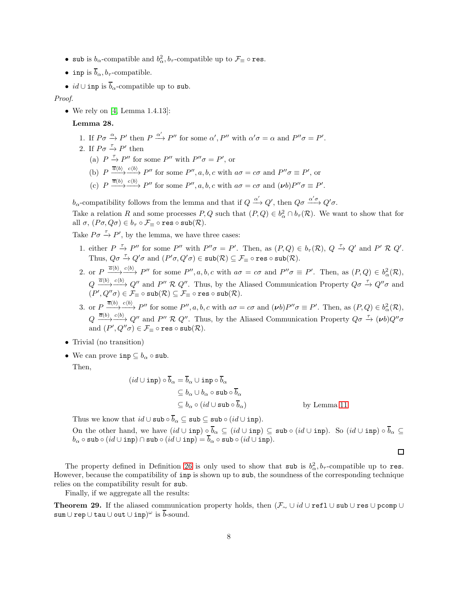- sub is  $b_{\alpha}$ -compatible and  $b_{\alpha}^2$ ,  $b_{\tau}$ -compatible up to  $\mathcal{F}_{\equiv} \circ \texttt{res}.$
- inp is  $\overline{b}_{\alpha}, b_{\tau}$ -compatible.
- $id \cup \text{inp is } \overline{b}_{\alpha}$ -compatible up to sub.

Proof.

• We rely on  $[4, Lemma 1.4.13]$ :

Lemma 28.

- 1. If  $P\sigma \xrightarrow{\alpha} P'$  then  $P \xrightarrow{\alpha'} P''$  for some  $\alpha', P''$  with  $\alpha'\sigma = \alpha$  and  $P''\sigma = P'$ .
- 2. If  $P\sigma \stackrel{\tau}{\rightarrow} P'$  then
	- (a)  $P \xrightarrow{\tau} P''$  for some P'' with  $P''\sigma = P'$ , or
	- (b)  $P \xrightarrow{\overline{a}\langle b \rangle} P''$  for some  $P'', a, b, c$  with  $a\sigma = c\sigma$  and  $P''\sigma \equiv P'$ , or
	- (c)  $P \xrightarrow{\overline{a}(b)} \xrightarrow{c(b)} P''$  for some  $P'', a, b, c$  with  $a\sigma = c\sigma$  and  $(vb)P''\sigma \equiv P'$ .

b<sub>α</sub>-compatibility follows from the lemma and that if  $Q \xrightarrow{\alpha'} Q'$ , then  $Q\sigma \xrightarrow{\alpha'\sigma} Q'\sigma$ .

Take a relation R and some processes  $P, Q$  such that  $(P, Q) \in b^2_\alpha \cap b_\tau(\mathcal{R})$ . We want to show that for all  $\sigma$ ,  $(P\sigma, Q\sigma) \in b_{\tau} \circ \mathcal{F}_{\equiv} \circ \text{res} \circ \text{sub}(\mathcal{R})$ .

Take  $P\sigma \stackrel{\tau}{\rightarrow} P'$ , by the lemma, we have three cases:

- 1. either  $P \stackrel{\tau}{\to} P''$  for some  $P''$  with  $P''\sigma = P'$ . Then, as  $(P,Q) \in b_{\tau}(\mathcal{R})$ ,  $Q \stackrel{\tau}{\to} Q'$  and  $P' \mathcal{R} Q'$ . Thus,  $Q\sigma \xrightarrow{\tau} Q'\sigma$  and  $(P'\sigma, Q'\sigma) \in \text{sub}(\mathcal{R}) \subseteq \mathcal{F}_{\equiv} \circ \text{res} \circ \text{sub}(\mathcal{R})$ .
- 2. or  $P \xrightarrow{\overline{\alpha}(b)} \xrightarrow{c(b)} P''$  for some  $P'', a, b, c$  with  $a\sigma = c\sigma$  and  $P''\sigma \equiv P'$ . Then, as  $(P, Q) \in b^2_\alpha(\mathcal{R})$ ,  $Q \xrightarrow{\overline{a}(b)} \xrightarrow{c(b)} Q''$  and P'' R Q''. Thus, by the Aliased Communication Property  $Q\sigma \xrightarrow{\tau} Q''\sigma$  and  $(P', Q''\sigma) \in \mathcal{F}_{\equiv} \circ \mathtt{sub}(\mathcal{R}) \subseteq \mathcal{F}_{\equiv} \circ \mathtt{res} \circ \mathtt{sub}(\mathcal{R}).$
- 3. or  $P \xrightarrow{\overline{a}(b)} \xrightarrow{c(b)} P''$  for some  $P'', a, b, c$  with  $a\sigma = c\sigma$  and  $(\nu b)P''\sigma \equiv P'$ . Then, as  $(P, Q) \in b^2_\alpha(\mathcal{R})$ ,  $Q \xrightarrow{\overline{a}(b)} \xrightarrow{c(b)} Q''$  and P'' R Q''. Thus, by the Aliased Communication Property  $Q\sigma \xrightarrow{\tau} (\nu b)Q''\sigma$ and  $(P', Q''\sigma) \in \mathcal{F}_{\equiv} \circ \texttt{res} \circ \texttt{sub}(\mathcal{R}).$
- Trivial (no transition)
- We can prove inp  $\subseteq b_{\alpha} \circ \text{sub.}$

Then,

$$
(id \cup \text{inp}) \circ \overline{b}_{\alpha} = \overline{b}_{\alpha} \cup \text{inp} \circ \overline{b}_{\alpha}
$$
  
\n
$$
\subseteq b_{\alpha} \cup b_{\alpha} \circ \text{sub} \circ \overline{b}_{\alpha}
$$
  
\n
$$
\subseteq b_{\alpha} \circ (id \cup \text{sub} \circ \overline{b}_{\alpha})
$$
 by Lemma 11

Thus we know that  $id \cup \text{sub} \circ \overline{b}_{\alpha} \subseteq \text{sub} \subseteq \text{sub} \circ (id \cup \text{inp}).$ 

On the other hand, we have  $(id \cup \text{inp}) \circ \overline{b}_{\alpha} \subseteq (id \cup \text{inp}) \subseteq \text{sub} \circ (id \cup \text{inp})$ . So  $(id \cup \text{inp}) \circ \overline{b}_{\alpha} \subseteq$  $b_{\alpha} \circ \texttt{sub} \circ (id \cup \texttt{inp}) \cap \texttt{sub} \circ (id \cup \texttt{inp}) = \overline{b}_{\alpha} \circ \texttt{sub} \circ (id \cup \texttt{inp}).$ 

The property defined in Definition [26](#page-6-1) is only used to show that sub is  $b^2_\alpha$ ,  $b_\tau$ -compatible up to res. However, because the compatibility of inp is shown up to sub, the soundness of the corresponding technique relies on the compatibility result for sub.

Finally, if we aggregate all the results:

<span id="page-7-0"></span>**Theorem 29.** If the aliased communication property holds, then  $(\mathcal{F}_{\sim} \cup id \cup \text{refl} \cup \text{sub} \cup \text{res} \cup \text{pcomp} \cup$  $\operatorname{\mathsf{sum}} \cup \operatorname{\mathsf{rep}} \cup \operatorname{\mathsf{tau}} \cup \operatorname{\mathsf{out}} \cup \operatorname{\mathsf{inp}})^\omega$  is  $\overline{b}\text{-}\operatorname{sound}.$ 

 $\Box$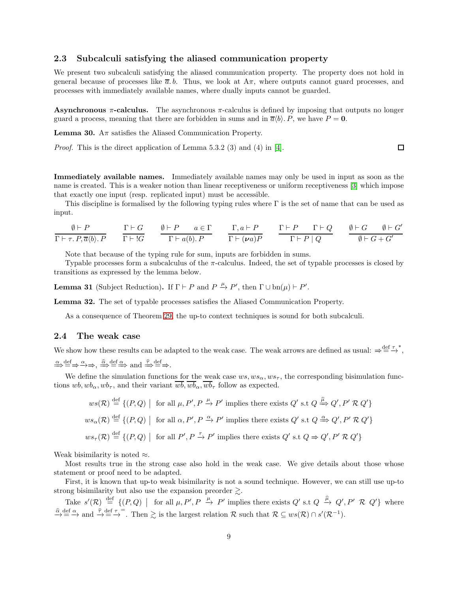### 2.3 Subcalculi satisfying the aliased communication property

We present two subcalculi satisfying the aliased communication property. The property does not hold in general because of processes like  $\bar{a}$ . b. Thus, we look at  $A\pi$ , where outputs cannot guard processes, and processes with immediately available names, where dually inputs cannot be guarded.

Asynchronous  $\pi$ -calculus. The asynchronous  $\pi$ -calculus is defined by imposing that outputs no longer guard a process, meaning that there are forbidden in sums and in  $\overline{a}\langle b \rangle$ . P, we have P = 0.

 $\Box$ 

**Lemma 30.** A $\pi$  satisfies the Aliased Communication Property.

Proof. This is the direct application of Lemma 5.3.2 (3) and (4) in [\[4\]](#page-10-0).

Immediately available names. Immediately available names may only be used in input as soon as the name is created. This is a weaker notion than linear receptiveness or uniform receptiveness [3] which impose that exactly one input (resp. replicated input) must be accessible.

This discipline is formalised by the following typing rules where  $\Gamma$  is the set of name that can be used as input.

$$
\frac{\emptyset \vdash P}{\Gamma \vdash \tau.\, P, \overline{a} \langle b \rangle.\, P} \qquad \frac{\Gamma \vdash G}{\Gamma \vdash !G} \qquad \frac{\emptyset \vdash P \qquad a \in \Gamma}{\Gamma \vdash a(b).\, P} \qquad \frac{\Gamma, a \vdash P}{\Gamma \vdash (\nu a)P} \qquad \frac{\Gamma \vdash P \qquad \Gamma \vdash Q}{\Gamma \vdash P \mid Q} \qquad \frac{\emptyset \vdash G \qquad \emptyset \vdash G'}{\emptyset \vdash G + G'}
$$

Note that because of the typing rule for sum, inputs are forbidden in sums.

Typable processes form a subcalculus of the  $\pi$ -calculus. Indeed, the set of typable processes is closed by transitions as expressed by the lemma below.

**Lemma 31** (Subject Reduction). If  $\Gamma \vdash P$  and  $P \xrightarrow{\mu} P'$ , then  $\Gamma \cup \text{bn}(\mu) \vdash P'$ .

Lemma 32. The set of typable processes satisfies the Aliased Communication Property.

As a consequence of Theorem [29,](#page-7-0) the up-to context techniques is sound for both subcalculi.

#### 2.4 The weak case

We show how these results can be adapted to the weak case. The weak arrows are defined as usual:  $\Rightarrow^{\text{def}}_{= \rightarrow^*}$ ,  $\stackrel{\alpha}{\Rightarrow} \stackrel{\text{def}}{=} \Rightarrow \stackrel{\alpha}{\Rightarrow} \Rightarrow$ ,  $\stackrel{\widehat{\alpha}}{\Rightarrow} \stackrel{\text{def}}{=} \Rightarrow$  and  $\stackrel{\widehat{\tau}}{\Rightarrow} \stackrel{\text{def}}{=} \Rightarrow$ .

We define the simulation functions for the weak case  $ws, ws_{\alpha}, ws_{\tau}$ , the corresponding bisimulation functions  $wb, wb_{\tau}$ , and their variant  $wb, wb_{\tau}$ ,  $wb_{\tau}$  follow as expected.

$$
ws(\mathcal{R}) \stackrel{\text{def}}{=} \{ (P,Q) \mid \text{ for all } \mu, P', P \xrightarrow{\mu} P' \text{ implies there exists } Q' \text{ s.t } Q \xrightarrow{\hat{\mu}} Q', P' \mathcal{R} Q' \}
$$
  

$$
ws_{\alpha}(\mathcal{R}) \stackrel{\text{def}}{=} \{ (P,Q) \mid \text{ for all } \alpha, P', P \xrightarrow{\alpha} P' \text{ implies there exists } Q' \text{ s.t } Q \xrightarrow{\alpha} Q', P' \mathcal{R} Q' \}
$$
  

$$
ws_{\tau}(\mathcal{R}) \stackrel{\text{def}}{=} \{ (P,Q) \mid \text{ for all } P', P \xrightarrow{\tau} P' \text{ implies there exists } Q' \text{ s.t } Q \Rightarrow Q', P' \mathcal{R} Q' \}
$$

Weak bisimilarity is noted  $\approx$ .

Most results true in the strong case also hold in the weak case. We give details about those whose statement or proof need to be adapted.

First, it is known that up-to weak bisimilarity is not a sound technique. However, we can still use up-to strong bisimilarity but also use the expansion preorder  $\geq$ .

Take  $s'(\mathcal{R}) \stackrel{\text{def}}{=} \{ (P,Q) \mid \text{for all } \mu, P', P \stackrel{\mu}{\to} P' \text{ implies there exists } Q' \text{ s.t } Q \stackrel{\hat{\mu}}{\to} Q', P' \mathcal{R} Q' \}$  where  $\frac{\hat{\alpha}}{\rightarrow} \stackrel{\text{def}}{=} \stackrel{\hat{\alpha}}{\rightarrow}$  and  $\stackrel{\hat{\tau}}{\rightarrow} \stackrel{\text{def}}{=} \stackrel{\tau}{\rightarrow}$ . Then  $\geq$  is the largest relation R such that  $\mathcal{R} \subseteq ws(\mathcal{R}) \cap s'(\mathcal{R}^{-1})$ .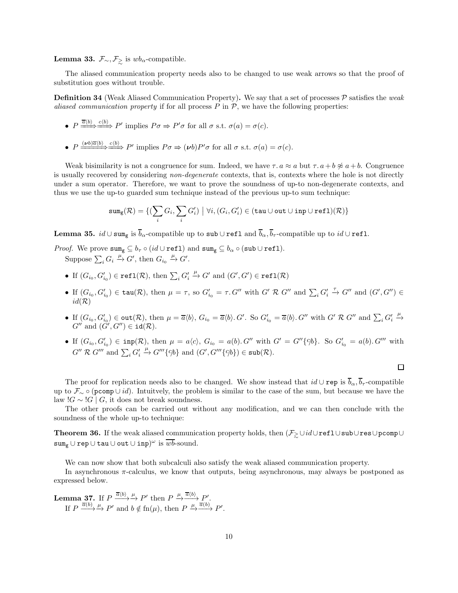**Lemma 33.**  $\mathcal{F}_{\sim}, \mathcal{F}_{\geq}$  is wb<sub>α</sub>-compatible.

The aliased communication property needs also to be changed to use weak arrows so that the proof of substitution goes without trouble.

**Definition 34** (Weak Aliased Communication Property). We say that a set of processes  $P$  satisfies the weak aliased communication property if for all process  $P$  in  $P$ , we have the following properties:

- $P \xrightarrow{\overline{a}(b)} \xrightarrow{c(b)} P'$  implies  $P\sigma \Rightarrow P'\sigma$  for all  $\sigma$  s.t.  $\sigma(a) = \sigma(c)$ .
- $P \xrightarrow{(\nu b)\overline{a}\langle b \rangle} \xrightarrow{c\langle b \rangle} P'$  implies  $P\sigma \Rightarrow (\nu b)P'\sigma$  for all  $\sigma$  s.t.  $\sigma(a) = \sigma(c)$ .

Weak bisimilarity is not a congruence for sum. Indeed, we have  $\tau \cdot a \approx a$  but  $\tau \cdot a + b \not\approx a + b$ . Congruence is usually recovered by considering non-degenerate contexts, that is, contexts where the hole is not directly under a sum operator. Therefore, we want to prove the soundness of up-to non-degenerate contexts, and thus we use the up-to guarded sum technique instead of the previous up-to sum technique:

$$
\texttt{sum}_{\texttt{g}}(\mathcal{R}) = \{(\sum_i G_i, \sum_i G'_i) \bigm| \forall i, (G_i, G'_i) \in (\texttt{tau} \cup \texttt{out} \cup \texttt{inp} \cup \texttt{refl})(\mathcal{R})\}
$$

**Lemma 35.**  $id \cup \text{sum}_{\mathbf{z}}$  is  $\overline{b}_{\alpha}$ -compatible up to sub  $\cup$  refl and  $\overline{b}_{\alpha}, \overline{b}_{\tau}$ -compatible up to  $id \cup$  refl.

*Proof.* We prove  $\texttt{sum}_{g} \subseteq b_{\tau} \circ (id \cup \texttt{ref1})$  and  $\texttt{sum}_{g} \subseteq b_{\alpha} \circ (\texttt{sub} \cup \texttt{ref1})$ . Suppose  $\sum_i G_i \stackrel{\mu}{\to} G'$ , then  $G_{i_0} \stackrel{\mu}{\to} G'$ .

- If  $(G_{i_0}, G'_{i_0}) \in \text{refl}(\mathcal{R})$ , then  $\sum_i G'_i$  $\xrightarrow{\mu} G'$  and  $(G', G') \in \texttt{refl}(\mathcal{R})$
- If  $(G_{i_0}, G'_{i_0}) \in \text{tau}(\mathcal{R})$ , then  $\mu = \tau$ , so  $G'_{i_0} = \tau$ . G'' with  $G' \mathcal{R} G''$  and  $\sum_i G'_i \stackrel{\tau}{\to} G''$  and  $(G', G'') \in$  $id(\mathcal{R})$
- If  $(G_{i_0}, G'_{i_0}) \in \text{out}(\mathcal{R})$ , then  $\mu = \overline{a}\langle b \rangle$ ,  $G_{i_0} = \overline{a}\langle b \rangle$ .  $G'$ . So  $G'_{i_0} = \overline{a}\langle b \rangle$ .  $G''$  with  $G' \mathcal{R} G''$  and  $\sum_i G'_i$  $\xrightarrow{\mu}$  $G''$  and  $(\check{G}', G'') \in \text{id}(\mathcal{R})$ .
- If  $(G_{i_0}, G'_{i_0}) \in \text{inp}(\mathcal{R})$ , then  $\mu = a\langle c \rangle$ ,  $G_{i_0} = a(b)$ . G'' with  $G' = G''\{\zeta/b\}$ . So  $G'_{i_0} = a(b)$ . G''' with  $G'' \mathrel{\mathcal{R}} G'''$  and  $\sum_i G'_i$  $\stackrel{\mu}{\to} G''' \{c/b\}$  and  $(G', G''' \{c/b\}) \in sub(\mathcal{R})$ .

 $\Box$ 

The proof for replication needs also to be changed. We show instead that  $id \cup \text{rep}$  is  $\overline{b}_{\alpha}, \overline{b}_{\tau}$ -compatible up to  $\mathcal{F}_{\sim} \circ (\text{pcomp} \cup id)$ . Intuitvely, the problem is similar to the case of the sum, but because we have the law ! $G \sim$  ! $G \mid G$ , it does not break soundness.

The other proofs can be carried out without any modification, and we can then conclude with the soundness of the whole up-to technique:

Theorem 36. If the weak aliased communication property holds, then  $(\mathcal{F}_{\geq} \cup id\cup \texttt{refl} \cup \texttt{sub} \cup \texttt{res} \cup \texttt{pcomp} \cup$  $\operatorname{\mathsf {sum}}_\mathsf g\cup\operatorname{\mathsf {rep}}\cup\operatorname{\mathsf {tau}}\cup\operatorname{\mathsf {out}}\cup\operatorname{\mathsf{inp}})^\omega\text{ is }\overline{wb}\text{-}\operatorname{\mathsf {sound}}.$ 

We can now show that both subcalculi also satisfy the weak aliased communication property.

In asynchronous π-calculus, we know that outputs, being asynchronous, may always be postponed as expressed below.

<span id="page-9-0"></span>**Lemma 37.** If 
$$
P \xrightarrow{\overline{a}\langle b \rangle} \xrightarrow{\mu} P'
$$
 then  $P \xrightarrow{\mu} \overline{\overline{a}\langle b \rangle} P'$ .  
If  $P \xrightarrow{\overline{a}\langle b \rangle} P'$  and  $b \notin \text{fn}(\mu)$ , then  $P \xrightarrow{\mu} \overline{\overline{a}\langle b \rangle} P'$ .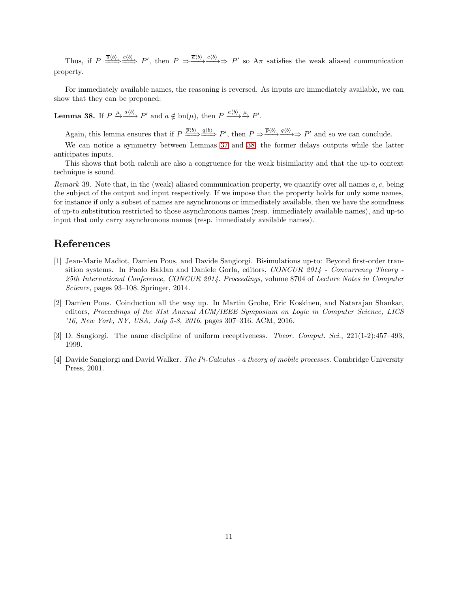Thus, if  $P \stackrel{\overline{a}(b)}{\longrightarrow} \stackrel{c(b)}{\longrightarrow} P'$ , then  $P \stackrel{\overline{a}(b)}{\longrightarrow} \stackrel{c(b)}{\longrightarrow} P'$  so  $A\pi$  satisfies the weak aliased communication property.

For immediately available names, the reasoning is reversed. As inputs are immediately available, we can show that they can be preponed:

<span id="page-10-1"></span>**Lemma 38.** If  $P \xrightarrow{\mu} \xrightarrow{a \langle b \rangle} P'$  and  $a \notin \text{bn}(\mu)$ , then  $P \xrightarrow{a \langle b \rangle} \xrightarrow{\mu} P'$ .

Again, this lemma ensures that if  $P \stackrel{\overline{p}(b)}{\longrightarrow} \stackrel{q(b)}{\longrightarrow} P'$ , then  $P \Rightarrow \frac{\overline{p}(b)}{\longrightarrow} \stackrel{q(b)}{\longrightarrow} P'$  and so we can conclude.

We can notice a symmetry between Lemmas [37](#page-9-0) and [38,](#page-10-1) the former delays outputs while the latter anticipates inputs.

This shows that both calculi are also a congruence for the weak bisimilarity and that the up-to context technique is sound.

Remark 39. Note that, in the (weak) aliased communication property, we quantify over all names  $a, c$ , being the subject of the output and input respectively. If we impose that the property holds for only some names, for instance if only a subset of names are asynchronous or immediately available, then we have the soundness of up-to substitution restricted to those asynchronous names (resp. immediately available names), and up-to input that only carry asynchronous names (resp. immediately available names).

# References

- [1] Jean-Marie Madiot, Damien Pous, and Davide Sangiorgi. Bisimulations up-to: Beyond first-order transition systems. In Paolo Baldan and Daniele Gorla, editors, CONCUR 2014 - Concurrency Theory - 25th International Conference, CONCUR 2014. Proceedings, volume 8704 of Lecture Notes in Computer Science, pages 93–108. Springer, 2014.
- [2] Damien Pous. Coinduction all the way up. In Martin Grohe, Eric Koskinen, and Natarajan Shankar, editors, Proceedings of the 31st Annual ACM/IEEE Symposium on Logic in Computer Science, LICS '16, New York, NY, USA, July 5-8, 2016, pages 307–316. ACM, 2016.
- <span id="page-10-0"></span>[3] D. Sangiorgi. The name discipline of uniform receptiveness. Theor. Comput. Sci., 221(1-2):457–493, 1999.
- [4] Davide Sangiorgi and David Walker. The Pi-Calculus a theory of mobile processes. Cambridge University Press, 2001.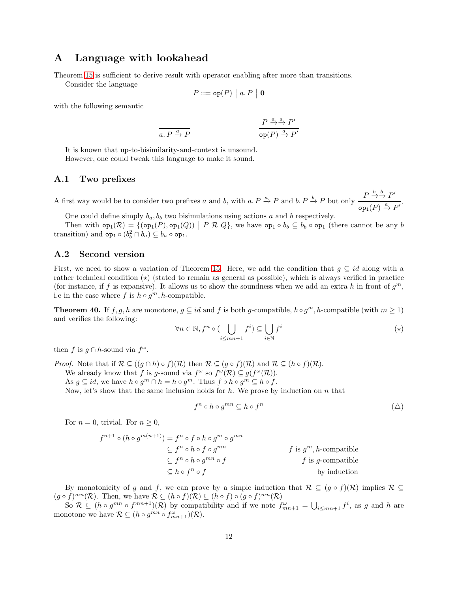## A Language with lookahead

Theorem [15](#page-3-0) is sufficient to derive result with operator enabling after more than transitions.

Consider the language

$$
P ::= \mathsf{op}(P) \mid a.P \mid \mathbf{0}
$$

with the following semantic

$$
\frac{P \xrightarrow{a} P}{\text{op}(P) \xrightarrow{a} P'} \frac{P \xrightarrow{a} P'}{\text{op}(P) \xrightarrow{a} P'}
$$

It is known that up-to-bisimilarity-and-context is unsound. However, one could tweak this language to make it sound.

### A.1 Two prefixes

A first way would be to consider two prefixes a and b, with a.  $P \xrightarrow{a} P$  and b.  $P \xrightarrow{b} P$  but only  $\frac{P \xrightarrow{b} P}{P \xrightarrow{a}} P'$  $\overline{\mathsf{op}_1(P) \stackrel{a}{\to} P'}$ .

One could define simply  $b_a$ ,  $b_b$  two bisimulations using actions a and b respectively.

Then with  $op_1(\mathcal{R}) = \{ (op_1(P), op_1(Q)) \mid P \mathcal{R} Q \}$ , we have  $op_1 \circ b_b \subseteq b_b \circ op_1$  (there cannot be any b transition) and  $\textsf{op}_1 \circ (b_b^2 \cap b_a) \subseteq b_a \circ \textsf{op}_1$ .

### A.2 Second version

First, we need to show a variation of Theorem [15.](#page-3-0) Here, we add the condition that  $g \subseteq id$  along with a rather technical condition  $(\star)$  (stated to remain as general as possible), which is always verified in practice (for instance, if f is expansive). It allows us to show the soundness when we add an extra h in front of  $g^m$ , i.e in the case where f is  $h \circ g^m$ , h-compatible.

<span id="page-11-0"></span>**Theorem 40.** If  $f, g, h$  are monotone,  $g \subseteq id$  and f is both g-compatible,  $h \circ g^m$ , h-compatible (with  $m \ge 1$ ) and verifies the following:

$$
\forall n \in \mathbb{N}, f^n \circ (\bigcup_{i \le mn+1} f^i) \subseteq \bigcup_{i \in \mathbb{N}} f^i
$$
 (\*)

then f is  $g \cap h$ -sound via  $f^{\omega}$ .

*Proof.* Note that if  $\mathcal{R} \subseteq ((q \cap h) \circ f)(\mathcal{R})$  then  $\mathcal{R} \subseteq (q \circ f)(\mathcal{R})$  and  $\mathcal{R} \subseteq (h \circ f)(\mathcal{R})$ .

We already know that f is g-sound via  $f^{\omega}$  so  $f^{\omega}(\mathcal{R}) \subseteq g(f^{\omega}(\mathcal{R}))$ .

As  $g \subseteq id$ , we have  $h \circ g^m \cap h = h \circ g^m$ . Thus  $f \circ h \circ g^m \subseteq h \circ f$ .

Now, let's show that the same inclusion holds for  $h$ . We prove by induction on  $n$  that

$$
f^n \circ h \circ g^{mn} \subseteq h \circ f^n \tag{(\Delta)}
$$

For  $n = 0$ , trivial. For  $n \geq 0$ ,

$$
f^{n+1} \circ (h \circ g^{m(n+1)}) = f^n \circ f \circ h \circ g^m \circ g^{mn}
$$
  
\n
$$
\subseteq f^n \circ h \circ f \circ g^{mn}
$$
  
\n
$$
\subseteq f^n \circ h \circ g^{mn} \circ f
$$
  
\n
$$
\subseteq f^n \circ f \circ f
$$
  
\n
$$
f \text{ is } g^m, h\text{-compatible}
$$
  
\n
$$
f \text{ is } g \circ g^m \circ g^{mn}
$$
  
\n
$$
f \text{ is } g \circ g^m \circ g^{mn}
$$
  
\nby induction

By monotonicity of g and f, we can prove by a simple induction that  $\mathcal{R} \subseteq (g \circ f)(\mathcal{R})$  implies  $\mathcal{R} \subseteq$  $(g \circ f)^{mn}(\mathcal{R})$ . Then, we have  $\mathcal{R} \subseteq (h \circ f)(\mathcal{R}) \subseteq (h \circ f) \circ (g \circ f)^{mn}(\mathcal{R})$ 

So  $\mathcal{R} \subseteq (h \circ g^{mn} \circ f^{mn+1})(\mathcal{R})$  by compatibility and if we note  $f^{\omega}_{mn+1} = \bigcup_{i \leq mn+1} f^i$ , as g and h are monotone we have  $\mathcal{R} \subseteq (h \circ g^{mn} \circ f_{mn+1}^{\omega})(\mathcal{R})$ .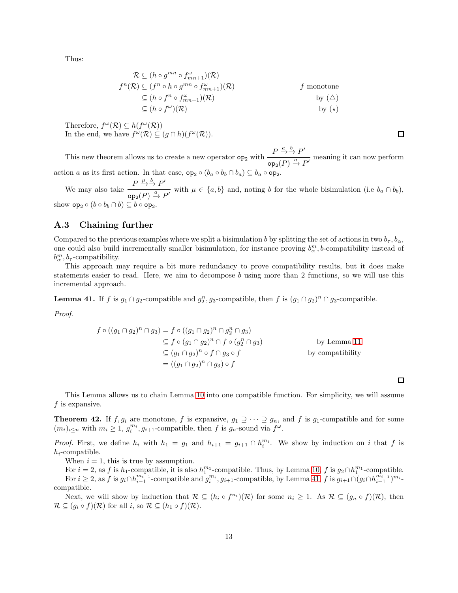Thus:

$$
\mathcal{R} \subseteq (h \circ g^{mn} \circ f_{mn+1}^{\omega})(\mathcal{R})
$$
\n
$$
f^{n}(\mathcal{R}) \subseteq (f^{n} \circ h \circ g^{mn} \circ f_{mn+1}^{\omega})(\mathcal{R}) \qquad f \text{ monotone}
$$
\n
$$
\subseteq (h \circ f^{n} \circ f_{mn+1}^{\omega})(\mathcal{R}) \qquad \qquad \text{by } (\triangle)
$$
\n
$$
\subseteq (h \circ f^{\omega})(\mathcal{R}) \qquad \qquad \text{by } (\star)
$$

Therefore,  $f^{\omega}(\mathcal{R}) \subseteq h(f^{\omega}(\mathcal{R}))$ In the end, we have  $f^{\omega}(\mathcal{R}) \subseteq (g \cap h)(f^{\omega}(\mathcal{R}))$ .

□

This new theorem allows us to create a new operator  $op_2$  with  $\frac{P \xrightarrow{a} b} P'$  $\overline{\text{op}_2(P) \xrightarrow{a} P'}$  meaning it can now perform action a as its first action. In that case,  $\texttt{op}_2 \circ (b_a \circ b_b \cap b_a) \subseteq b_a \circ \texttt{op}_2$ .

We may also take  $\frac{P \xrightarrow{\mu} \overset{b}{\rightarrow} P'}{\xrightarrow{\qquad} P}$  $\frac{a}{\exp\left(P\right)} \xrightarrow{a} P'$  with  $\mu \in \{a, b\}$  and, noting b for the whole bisimulation (i.e  $b_a \cap b_b$ ), show  $\mathsf{op}_2 \circ (b \circ b_b \cap b) \subseteq b \circ \mathsf{op}_2$ .

### A.3 Chaining further

Compared to the previous examples where we split a bisimulation b by splitting the set of actions in two  $b_\tau$ ,  $b_\alpha$ , one could also build incrementally smaller bisimulation, for instance proving  $b^m_\alpha$ , *b*-compatibility instead of  $b^m_\alpha$ ,  $b_\tau$ -compatibility.

This approach may require a bit more redundancy to prove compatibility results, but it does make statements easier to read. Here, we aim to decompose b using more than 2 functions, so we will use this incremental approach.

<span id="page-12-0"></span>**Lemma 41.** If f is  $g_1 \cap g_2$ -compatible and  $g_2^n, g_3$ -compatible, then f is  $(g_1 \cap g_2)^n \cap g_3$ -compatible.

Proof.

$$
f \circ ((g_1 \cap g_2)^n \cap g_3) = f \circ ((g_1 \cap g_2)^n \cap g_2^n \cap g_3)
$$
  
\n
$$
\subseteq f \circ (g_1 \cap g_2)^n \cap f \circ (g_2^n \cap g_3)
$$
  
\n
$$
\subseteq (g_1 \cap g_2)^n \circ f \cap g_3 \circ f
$$
  
\n
$$
= ((g_1 \cap g_2)^n \cap g_3) \circ f
$$
  
\nby compatibility

 $\Box$ 

This Lemma allows us to chain Lemma [10](#page-2-1) into one compatible function. For simplicity, we will assume  $f$  is expansive.

<span id="page-12-1"></span>**Theorem 42.** If  $f, g_i$  are monotone, f is expansive,  $g_1 \supseteq \cdots \supseteq g_n$ , and f is  $g_1$ -compatible and for some  $(m_i)_{i \leq n}$  with  $m_i \geq 1$ ,  $g_i^{m_i}, g_{i+1}$ -compatible, then f is  $g_n$ -sound via  $f^{\omega}$ .

*Proof.* First, we define  $h_i$  with  $h_1 = g_1$  and  $h_{i+1} = g_{i+1} \cap h_i^{m_i}$ . We show by induction on i that f is  $h_i$ -compatible.

When  $i = 1$ , this is true by assumption.

For  $i = 2$ , as f is  $h_1$ -compatible, it is also  $h_1^{m_1}$ -compatible. Thus, by Lemma [10,](#page-2-1) f is  $g_2 \cap h_1^{m_1}$ -compatible. For  $i \geq 2$ , as f is  $g_i \cap h_{i-1}^{m_{i-1}}$ -compatible and  $g_i^{m_i}, g_{i+1}$ -compatible, by Lemma [41,](#page-12-0) f is  $g_{i+1} \cap (g_i \cap h_{i-1}^{m_{i-1}})^{m_i}$ compatible.

Next, we will show by induction that  $\mathcal{R} \subseteq (h_i \circ f^{n_i})(\mathcal{R})$  for some  $n_i \geq 1$ . As  $\mathcal{R} \subseteq (g_n \circ f)(\mathcal{R})$ , then  $\mathcal{R} \subseteq (g_i \circ f)(\mathcal{R})$  for all  $i$ , so  $\mathcal{R} \subseteq (h_1 \circ f)(\mathcal{R})$ .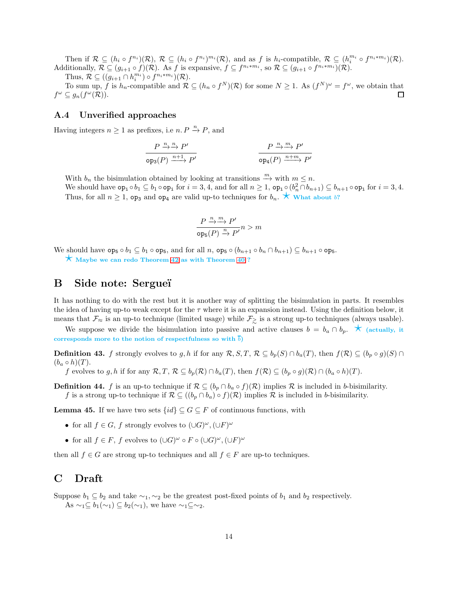Then if  $\mathcal{R} \subseteq (h_i \circ f^{n_i})(\mathcal{R}), \mathcal{R} \subseteq (h_i \circ f^{n_i})^{m_i}(\mathcal{R}),$  and as f is  $h_i$ -compatible,  $\mathcal{R} \subseteq (h_i^{m_i} \circ f^{n_i+m_i})(\mathcal{R}).$ Additionally,  $\mathcal{R} \subseteq (g_{i+1} \circ f)(\mathcal{R})$ . As f is expansive,  $f \subseteq f^{n_i * m_i}$ , so  $\mathcal{R} \subseteq (g_{i+1} \circ f^{n_i * m_i})(\mathcal{R})$ .

Thus,  $\mathcal{R} \subseteq ((g_{i+1} \cap h_i^{m_i}) \circ f^{n_i * m_i})(\mathcal{R}).$ 

To sum up, f is  $h_n$ -compatible and  $\mathcal{R} \subseteq (h_n \circ f^N)(\mathcal{R})$  for some  $N \geq 1$ . As  $(f^N)^\omega = f^\omega$ , we obtain that  $f^{\omega} \subseteq g_n(f^{\omega}(\mathcal{R})).$  $\Box$ 

### A.4 Unverified approaches

Having integers  $n \geq 1$  as prefixes, i.e  $n \cdot P \stackrel{n}{\rightarrow} P$ , and

$$
\frac{P \xrightarrow{n} \xrightarrow{n} P'}{\text{op}_3(P) \xrightarrow{n+1} P'} \qquad \qquad \frac{P \xrightarrow{n} \xrightarrow{m} P'}{\text{op}_4(P) \xrightarrow{n+m} P'}
$$

With  $b_n$  the bisimulation obtained by looking at transitions  $\stackrel{m}{\rightarrow}$  with  $m \leq n$ .

We should have  $\texttt{op}_i \circ b_1 \subseteq b_1 \circ \texttt{op}_i$  for  $i = 3, 4$ , and for all  $n \geq 1$ ,  $\texttt{op}_i \circ (b_n^2 \cap b_{n+1}) \subseteq b_{n+1} \circ \texttt{op}_i$  for  $i = 3, 4$ . Thus, for all  $n \geq 1$ , op<sub>3</sub> and op<sub>4</sub> are valid up-to techniques for  $b_n$ .  $\star$  What about b?

$$
\frac{P \xrightarrow{n} \xrightarrow{m} P'}{\text{ops}(P) \xrightarrow{n} P'} n > m
$$

We should have  $\mathsf{op}_5 \circ b_1 \subseteq b_1 \circ \mathsf{op}_5$ , and for all n,  $\mathsf{op}_5 \circ (b_{n+1} \circ b_n \cap b_{n+1}) \subseteq b_{n+1} \circ \mathsf{op}_5$ .

 $\star$  Maybe we can redo Theorem [42](#page-12-1) as with Theorem [40](#page-11-0) ?

# B Side note: Sergueï

It has nothing to do with the rest but it is another way of splitting the bisimulation in parts. It resembles the idea of having up-to weak except for the  $\tau$  where it is an expansion instead. Using the definition below, it means that  $\mathcal{F}_{\approx}$  is an up-to technique (limited usage) while  $\mathcal{F}_{\geq}$  is a strong up-to techniques (always usable).

We suppose we divide the bisimulation into passive and active clauses  $b = b_a \cap b_p$ .  $\star$  (actually, it corresponds more to the notion of respectfulness so with  $\overline{b}$ )

**Definition 43.** f strongly evolves to g, h if for any  $\mathcal{R}, S, T, \mathcal{R} \subseteq b_p(S) \cap b_a(T)$ , then  $f(\mathcal{R}) \subseteq (b_p \circ g)(S) \cap b_a(T)$  $(b_a \circ h)(T)$ .

f evolves to g, h if for any  $\mathcal{R}, T, \mathcal{R} \subseteq b_p(\mathcal{R}) \cap b_a(T)$ , then  $f(\mathcal{R}) \subseteq (b_p \circ g)(\mathcal{R}) \cap (b_a \circ h)(T)$ .

**Definition 44.** f is an up-to technique if  $\mathcal{R} \subseteq (b_p \cap b_a \circ f)(\mathcal{R})$  implies  $\mathcal{R}$  is included in b-bisimilarity. f is a strong up-to technique if  $\mathcal{R} \subseteq ((b_p \cap b_a) \circ f)(\mathcal{R})$  implies  $\mathcal R$  is included in b-bisimilarity.

**Lemma 45.** If we have two sets  $\{id\} \subseteq G \subseteq F$  of continuous functions, with

- for all  $f \in G$ , f strongly evolves to  $(\cup G)^{\omega}$ ,  $(\cup F)^{\omega}$
- for all  $f \in F$ , f evolves to  $(\cup G)^\omega \circ F \circ (\cup G)^\omega$ ,  $(\cup F)^\omega$

then all  $f \in G$  are strong up-to techniques and all  $f \in F$  are up-to techniques.

# C Draft

Suppose  $b_1 \subseteq b_2$  and take  $\sim_1, \sim_2$  be the greatest post-fixed points of  $b_1$  and  $b_2$  respectively. As  $\sim_1 \subseteq b_1(\sim_1) \subseteq b_2(\sim_1)$ , we have  $\sim_1 \subseteq \sim_2$ .